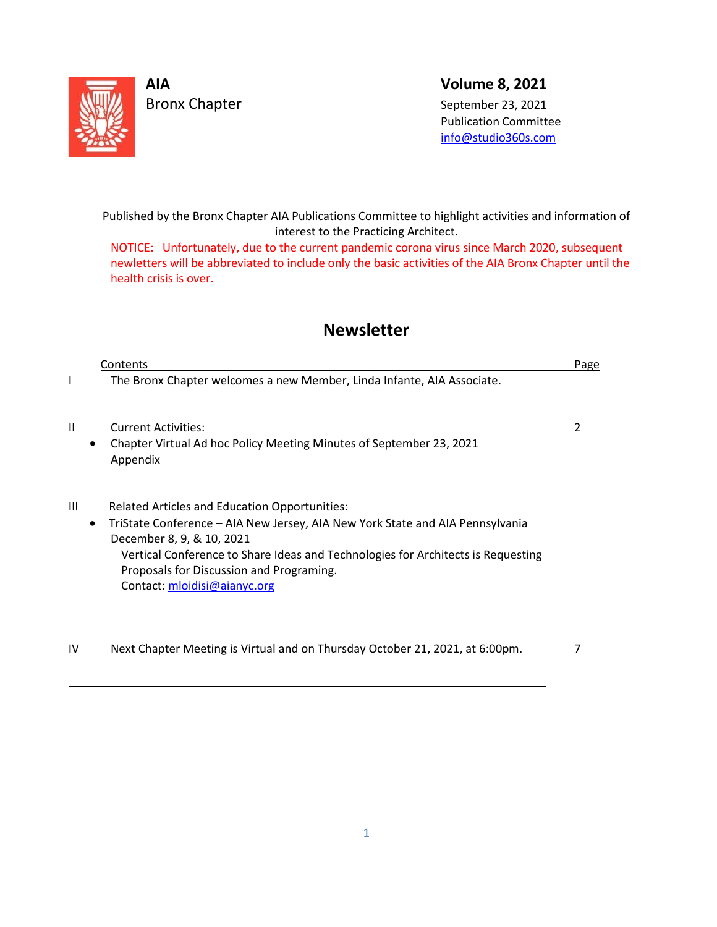

L

L

**AIA Volume 8, 2021**

 Publication Committee [info@studio360s.com](mailto:info@studio360s.com)

Published by the Bronx Chapter AIA Publications Committee to highlight activities and information of interest to the Practicing Architect.

NOTICE: Unfortunately, due to the current pandemic corona virus since March 2020, subsequent newletters will be abbreviated to include only the basic activities of the AIA Bronx Chapter until the health crisis is over.

## **Newsletter**

|                | Contents                                                                                                                                                                                                                                                                                                                    | Page |
|----------------|-----------------------------------------------------------------------------------------------------------------------------------------------------------------------------------------------------------------------------------------------------------------------------------------------------------------------------|------|
| L              | The Bronx Chapter welcomes a new Member, Linda Infante, AIA Associate.                                                                                                                                                                                                                                                      |      |
| Ш<br>$\bullet$ | <b>Current Activities:</b><br>Chapter Virtual Ad hoc Policy Meeting Minutes of September 23, 2021<br>Appendix                                                                                                                                                                                                               | 2    |
| Ш<br>$\bullet$ | Related Articles and Education Opportunities:<br>TriState Conference - AIA New Jersey, AIA New York State and AIA Pennsylvania<br>December 8, 9, & 10, 2021<br>Vertical Conference to Share Ideas and Technologies for Architects is Requesting<br>Proposals for Discussion and Programing.<br>Contact: mloidisi@aianyc.org |      |
| IV             | Next Chapter Meeting is Virtual and on Thursday October 21, 2021, at 6:00pm.                                                                                                                                                                                                                                                |      |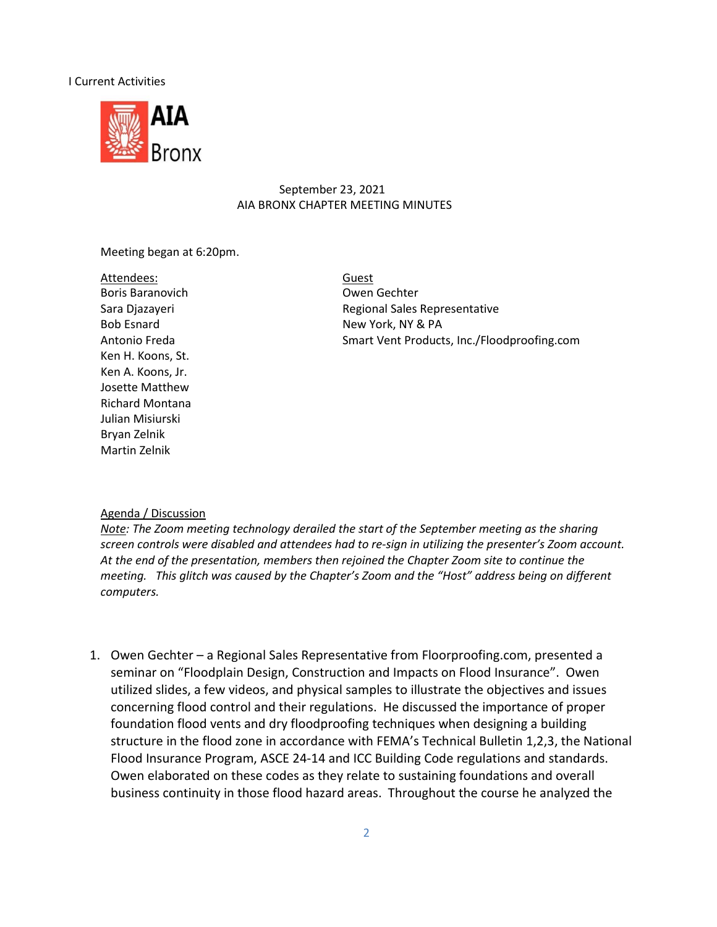#### I Current Activities



#### September 23, 2021 AIA BRONX CHAPTER MEETING MINUTES

Meeting began at 6:20pm.

Attendees: Boris Baranovich Owen Gechter Ken H. Koons, St. Ken A. Koons, Jr. Josette Matthew Richard Montana Julian Misiurski Bryan Zelnik Martin Zelnik

Guest Sara Djazayeri **Regional Sales Representative** Bob Esnard New York, NY & PA Antonio Freda Smart Vent Products, Inc./Floodproofing.com

#### Agenda / Discussion

*Note: The Zoom meeting technology derailed the start of the September meeting as the sharing screen controls were disabled and attendees had to re-sign in utilizing the presenter's Zoom account. At the end of the presentation, members then rejoined the Chapter Zoom site to continue the meeting. This glitch was caused by the Chapter's Zoom and the "Host" address being on different computers.* 

1. Owen Gechter – a Regional Sales Representative from Floorproofing.com, presented a seminar on "Floodplain Design, Construction and Impacts on Flood Insurance". Owen utilized slides, a few videos, and physical samples to illustrate the objectives and issues concerning flood control and their regulations. He discussed the importance of proper foundation flood vents and dry floodproofing techniques when designing a building structure in the flood zone in accordance with FEMA's Technical Bulletin 1,2,3, the National Flood Insurance Program, ASCE 24-14 and ICC Building Code regulations and standards. Owen elaborated on these codes as they relate to sustaining foundations and overall business continuity in those flood hazard areas. Throughout the course he analyzed the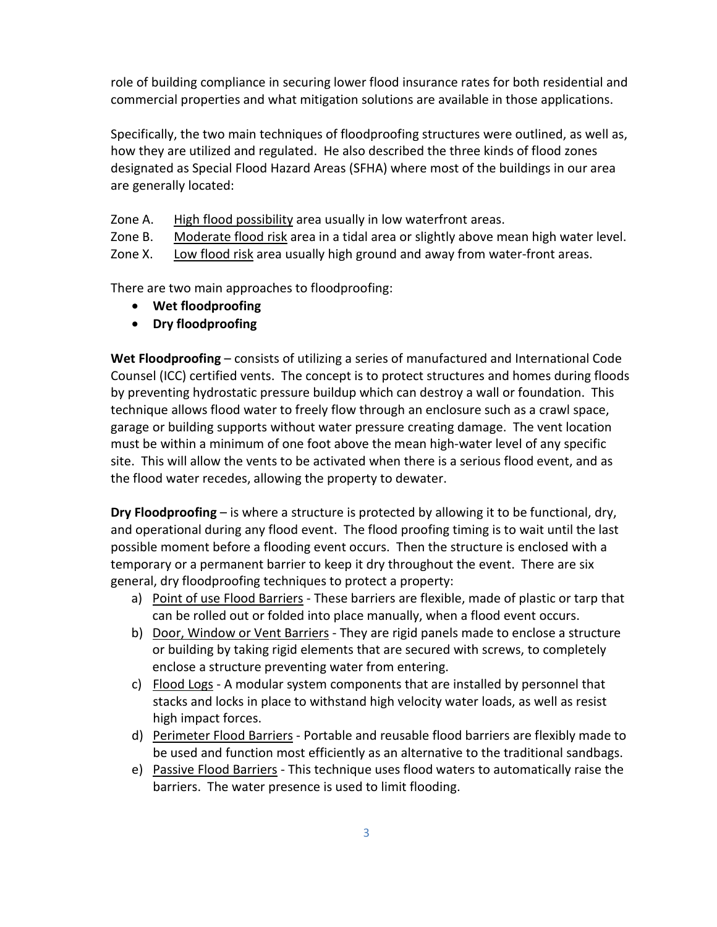role of building compliance in securing lower flood insurance rates for both residential and commercial properties and what mitigation solutions are available in those applications.

Specifically, the two main techniques of floodproofing structures were outlined, as well as, how they are utilized and regulated. He also described the three kinds of flood zones designated as Special Flood Hazard Areas (SFHA) where most of the buildings in our area are generally located:

Zone A. High flood possibility area usually in low waterfront areas.

Zone B. Moderate flood risk area in a tidal area or slightly above mean high water level.

Zone X. Low flood risk area usually high ground and away from water-front areas.

There are two main approaches to floodproofing:

- **Wet floodproofing**
- **Dry floodproofing**

**Wet Floodproofing** – consists of utilizing a series of manufactured and International Code Counsel (ICC) certified vents. The concept is to protect structures and homes during floods by preventing hydrostatic pressure buildup which can destroy a wall or foundation. This technique allows flood water to freely flow through an enclosure such as a crawl space, garage or building supports without water pressure creating damage. The vent location must be within a minimum of one foot above the mean high-water level of any specific site. This will allow the vents to be activated when there is a serious flood event, and as the flood water recedes, allowing the property to dewater.

**Dry Floodproofing** – is where a structure is protected by allowing it to be functional, dry, and operational during any flood event. The flood proofing timing is to wait until the last possible moment before a flooding event occurs. Then the structure is enclosed with a temporary or a permanent barrier to keep it dry throughout the event. There are six general, dry floodproofing techniques to protect a property:

- a) Point of use Flood Barriers These barriers are flexible, made of plastic or tarp that can be rolled out or folded into place manually, when a flood event occurs.
- b) Door, Window or Vent Barriers They are rigid panels made to enclose a structure or building by taking rigid elements that are secured with screws, to completely enclose a structure preventing water from entering.
- c) Flood Logs A modular system components that are installed by personnel that stacks and locks in place to withstand high velocity water loads, as well as resist high impact forces.
- d) Perimeter Flood Barriers Portable and reusable flood barriers are flexibly made to be used and function most efficiently as an alternative to the traditional sandbags.
- e) Passive Flood Barriers This technique uses flood waters to automatically raise the barriers. The water presence is used to limit flooding.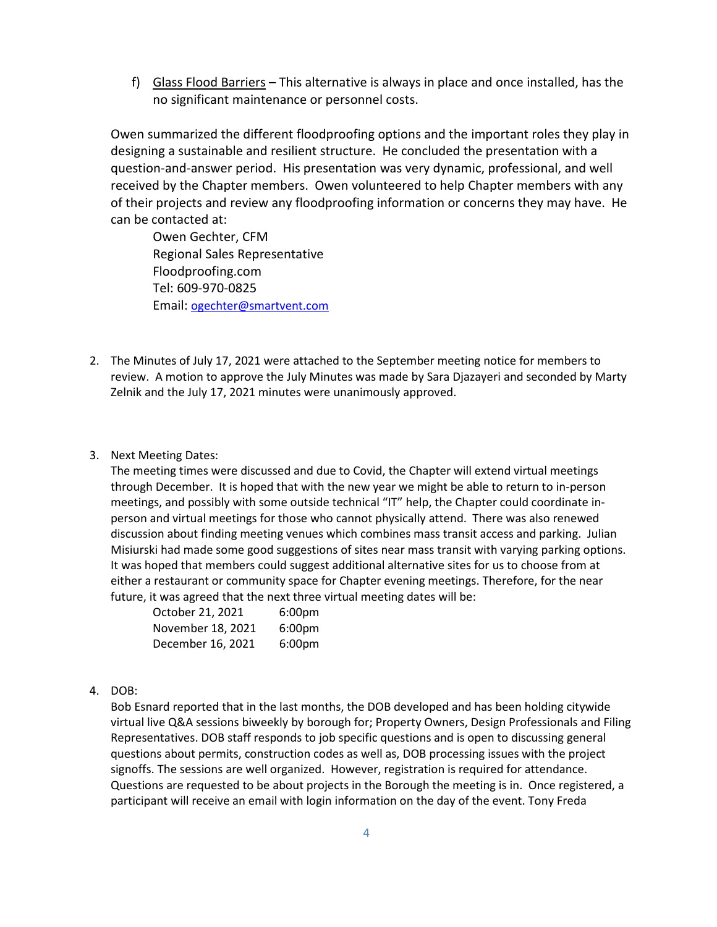f) Glass Flood Barriers – This alternative is always in place and once installed, has the no significant maintenance or personnel costs.

Owen summarized the different floodproofing options and the important roles they play in designing a sustainable and resilient structure. He concluded the presentation with a question-and-answer period. His presentation was very dynamic, professional, and well received by the Chapter members. Owen volunteered to help Chapter members with any of their projects and review any floodproofing information or concerns they may have. He can be contacted at:

Owen Gechter, CFM Regional Sales Representative Floodproofing.com Tel: 609-970-0825 Email: [ogechter@smartvent.com](mailto:ogechter@smartvent.com)

- 2. The Minutes of July 17, 2021 were attached to the September meeting notice for members to review. A motion to approve the July Minutes was made by Sara Djazayeri and seconded by Marty Zelnik and the July 17, 2021 minutes were unanimously approved.
- 3. Next Meeting Dates:

The meeting times were discussed and due to Covid, the Chapter will extend virtual meetings through December. It is hoped that with the new year we might be able to return to in-person meetings, and possibly with some outside technical "IT" help, the Chapter could coordinate inperson and virtual meetings for those who cannot physically attend. There was also renewed discussion about finding meeting venues which combines mass transit access and parking. Julian Misiurski had made some good suggestions of sites near mass transit with varying parking options. It was hoped that members could suggest additional alternative sites for us to choose from at either a restaurant or community space for Chapter evening meetings. Therefore, for the near future, it was agreed that the next three virtual meeting dates will be:

| October 21, 2021  | 6:00 <sub>pm</sub> |
|-------------------|--------------------|
| November 18, 2021 | 6:00 <sub>pm</sub> |
| December 16, 2021 | 6:00 <sub>pm</sub> |

4. DOB:

Bob Esnard reported that in the last months, the DOB developed and has been holding citywide virtual live Q&A sessions biweekly by borough for; Property Owners, Design Professionals and Filing Representatives. DOB staff responds to job specific questions and is open to discussing general questions about permits, construction codes as well as, DOB processing issues with the project signoffs. The sessions are well organized. However, registration is required for attendance. Questions are requested to be about projects in the Borough the meeting is in. Once registered, a participant will receive an email with login information on the day of the event. Tony Freda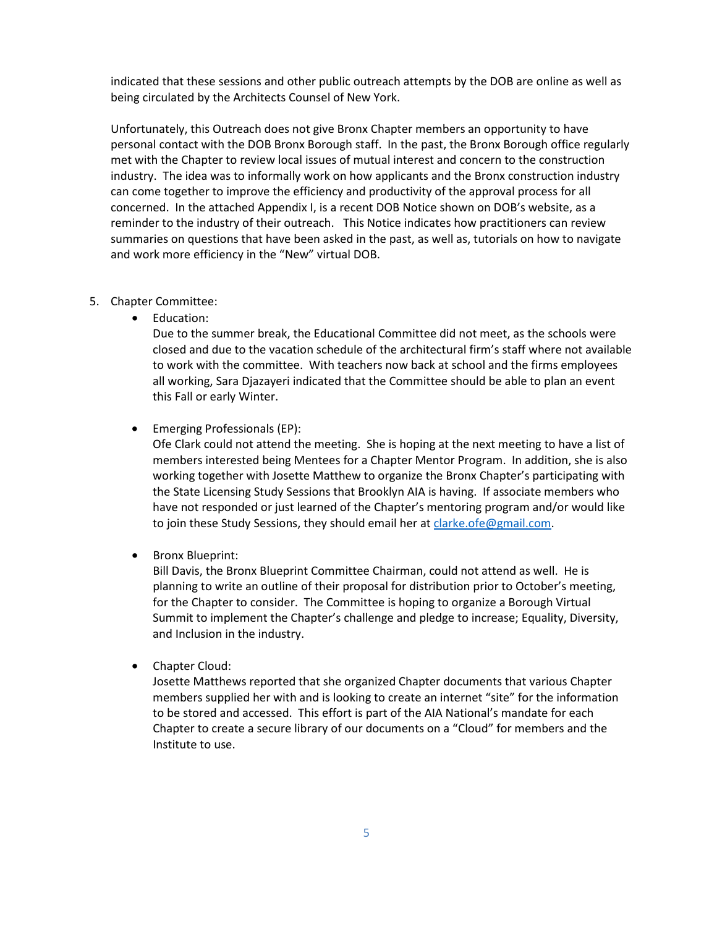indicated that these sessions and other public outreach attempts by the DOB are online as well as being circulated by the Architects Counsel of New York.

Unfortunately, this Outreach does not give Bronx Chapter members an opportunity to have personal contact with the DOB Bronx Borough staff. In the past, the Bronx Borough office regularly met with the Chapter to review local issues of mutual interest and concern to the construction industry. The idea was to informally work on how applicants and the Bronx construction industry can come together to improve the efficiency and productivity of the approval process for all concerned. In the attached Appendix I, is a recent DOB Notice shown on DOB's website, as a reminder to the industry of their outreach. This Notice indicates how practitioners can review summaries on questions that have been asked in the past, as well as, tutorials on how to navigate and work more efficiency in the "New" virtual DOB.

#### 5. Chapter Committee:

• Education:

Due to the summer break, the Educational Committee did not meet, as the schools were closed and due to the vacation schedule of the architectural firm's staff where not available to work with the committee. With teachers now back at school and the firms employees all working, Sara Djazayeri indicated that the Committee should be able to plan an event this Fall or early Winter.

• Emerging Professionals (EP):

Ofe Clark could not attend the meeting. She is hoping at the next meeting to have a list of members interested being Mentees for a Chapter Mentor Program. In addition, she is also working together with Josette Matthew to organize the Bronx Chapter's participating with the State Licensing Study Sessions that Brooklyn AIA is having. If associate members who have not responded or just learned of the Chapter's mentoring program and/or would like to join these Study Sessions, they should email her at [clarke.ofe@gmail.com.](mailto:clarke.ofe@gmail.com)

• Bronx Blueprint:

Bill Davis, the Bronx Blueprint Committee Chairman, could not attend as well. He is planning to write an outline of their proposal for distribution prior to October's meeting, for the Chapter to consider. The Committee is hoping to organize a Borough Virtual Summit to implement the Chapter's challenge and pledge to increase; Equality, Diversity, and Inclusion in the industry.

• Chapter Cloud:

Josette Matthews reported that she organized Chapter documents that various Chapter members supplied her with and is looking to create an internet "site" for the information to be stored and accessed. This effort is part of the AIA National's mandate for each Chapter to create a secure library of our documents on a "Cloud" for members and the Institute to use.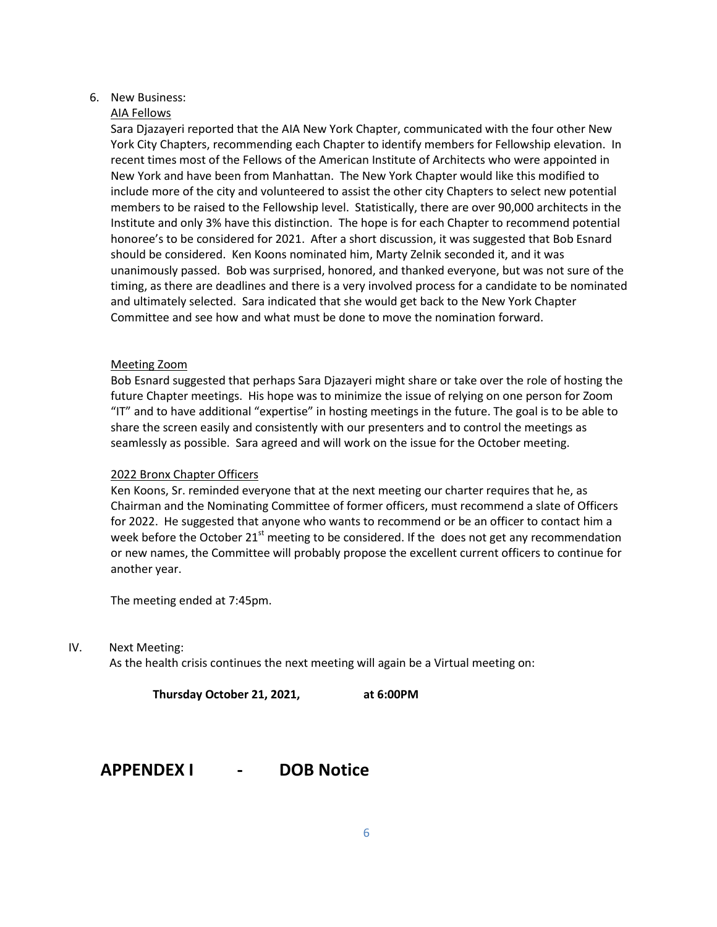#### 6. New Business:

#### AIA Fellows

Sara Djazayeri reported that the AIA New York Chapter, communicated with the four other New York City Chapters, recommending each Chapter to identify members for Fellowship elevation. In recent times most of the Fellows of the American Institute of Architects who were appointed in New York and have been from Manhattan. The New York Chapter would like this modified to include more of the city and volunteered to assist the other city Chapters to select new potential members to be raised to the Fellowship level. Statistically, there are over 90,000 architects in the Institute and only 3% have this distinction. The hope is for each Chapter to recommend potential honoree's to be considered for 2021. After a short discussion, it was suggested that Bob Esnard should be considered. Ken Koons nominated him, Marty Zelnik seconded it, and it was unanimously passed. Bob was surprised, honored, and thanked everyone, but was not sure of the timing, as there are deadlines and there is a very involved process for a candidate to be nominated and ultimately selected. Sara indicated that she would get back to the New York Chapter Committee and see how and what must be done to move the nomination forward.

#### Meeting Zoom

Bob Esnard suggested that perhaps Sara Djazayeri might share or take over the role of hosting the future Chapter meetings. His hope was to minimize the issue of relying on one person for Zoom "IT" and to have additional "expertise" in hosting meetings in the future. The goal is to be able to share the screen easily and consistently with our presenters and to control the meetings as seamlessly as possible. Sara agreed and will work on the issue for the October meeting.

#### 2022 Bronx Chapter Officers

Ken Koons, Sr. reminded everyone that at the next meeting our charter requires that he, as Chairman and the Nominating Committee of former officers, must recommend a slate of Officers for 2022. He suggested that anyone who wants to recommend or be an officer to contact him a week before the October 21 $^{\rm st}$  meeting to be considered. If the does not get any recommendation or new names, the Committee will probably propose the excellent current officers to continue for another year.

The meeting ended at 7:45pm.

IV. Next Meeting:

As the health crisis continues the next meeting will again be a Virtual meeting on:

**Thursday October 21, 2021, at 6:00PM**

### **APPENDEX I - DOB Notice**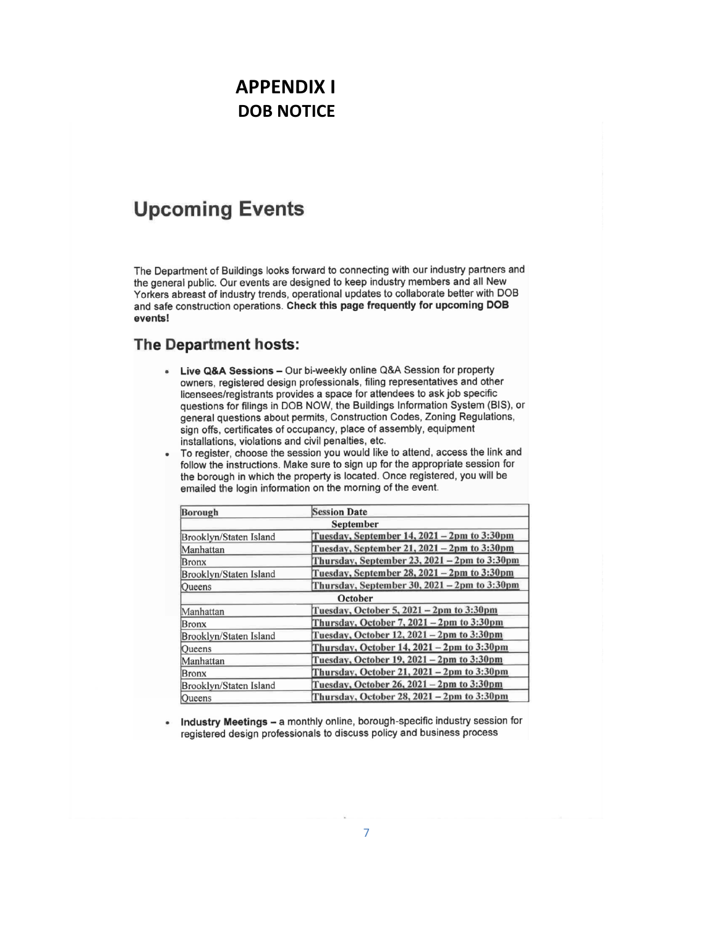# **APPENDIX I DOB NOTICE**

## **Upcoming Events**

The Department of Buildings looks forward to connecting with our industry partners and the general public. Our events are designed to keep industry members and all New Yorkers abreast of industry trends, operational updates to collaborate better with DOB and safe construction operations. Check this page frequently for upcoming DOB events!

### The Department hosts:

- Live Q&A Sessions Our bi-weekly online Q&A Session for property owners, registered design professionals, filing representatives and other licensees/registrants provides a space for attendees to ask job specific questions for filings in DOB NOW, the Buildings Information System (BIS), or general questions about permits, Construction Codes, Zoning Regulations, sign offs, certificates of occupancy, place of assembly, equipment installations, violations and civil penalties, etc.
- To register, choose the session you would like to attend, access the link and follow the instructions. Make sure to sign up for the appropriate session for the borough in which the property is located. Once registered, you will be emailed the login information on the morning of the event.

| <b>Borough</b>         | <b>Session Date</b>                              |
|------------------------|--------------------------------------------------|
|                        | <b>September</b>                                 |
| Brooklyn/Staten Island | Tuesday, September 14, 2021 - 2pm to 3:30pm      |
| Manhattan              | Tuesday, September 21, 2021 - 2pm to 3:30pm      |
| Bronx                  | Thursday, September 23, $2021 - 2$ pm to 3:30pm  |
| Brooklyn/Staten Island | Tuesday, September 28, 2021 - 2pm to 3:30pm      |
| Oueens                 | Thursday, September 30, 2021 - 2pm to 3:30pm     |
|                        | October                                          |
| Manhattan              | Tuesday, October 5, 2021 – 2pm to 3:30pm         |
| <b>IBronx</b>          | Thursday, October 7, $2021 - 2$ pm to $3:30$ pm  |
| Brooklyn/Staten Island | Tuesday, October 12, 2021 - 2pm to 3:30pm        |
| Queens                 | Thursday, October 14, 2021 - 2pm to 3:30pm       |
| Manhattan              | Tuesday, October 19, 2021 - 2pm to 3:30pm        |
| <b>Bronx</b>           | Thursday, October 21, 2021 - 2pm to 3:30pm       |
| Brooklyn/Staten Island | Tuesday, October 26, 2021 – 2pm to 3:30pm        |
| Oueens                 | Thursday, October 28, $2021 - 2$ pm to $3:30$ pm |

Industry Meetings - a monthly online, borough-specific industry session for  $\bullet$ registered design professionals to discuss policy and business process